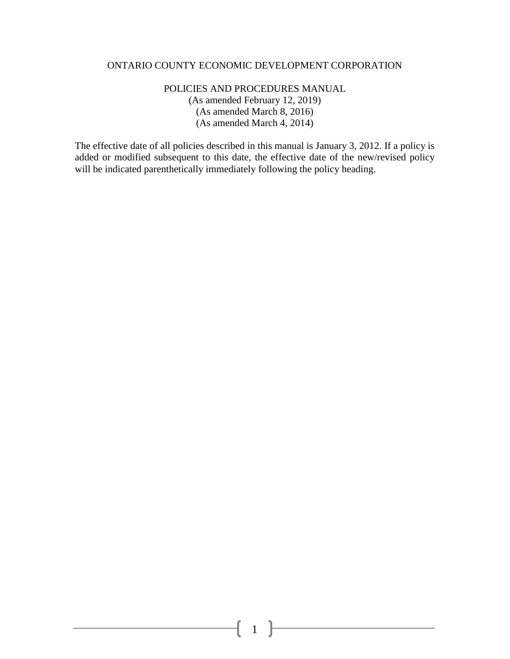#### ONTARIO COUNTY ECONOMIC DEVELOPMENT CORPORATION

#### POLICIES AND PROCEDURES MANUAL (As amended February 12, 2019) (As amended March 8, 2016) (As amended March 4, 2014)

The effective date of all policies described in this manual is January 3, 2012. If a policy is added or modified subsequent to this date, the effective date of the new/revised policy will be indicated parenthetically immediately following the policy heading.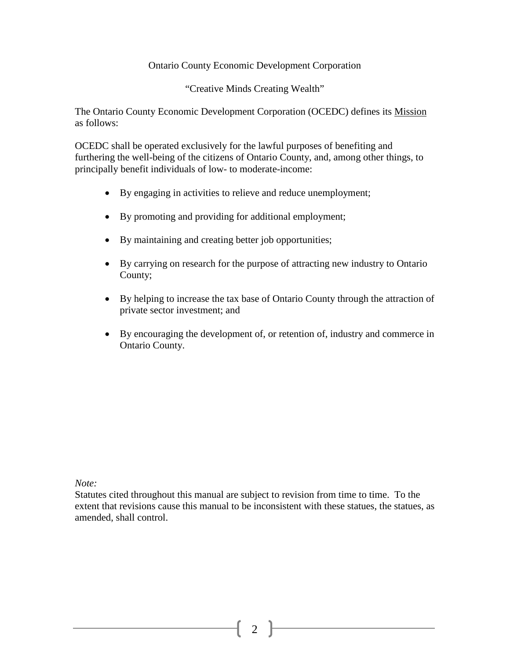#### Ontario County Economic Development Corporation

"Creative Minds Creating Wealth"

The Ontario County Economic Development Corporation (OCEDC) defines its Mission as follows:

OCEDC shall be operated exclusively for the lawful purposes of benefiting and furthering the well-being of the citizens of Ontario County, and, among other things, to principally benefit individuals of low- to moderate-income:

- By engaging in activities to relieve and reduce unemployment;
- By promoting and providing for additional employment;
- By maintaining and creating better job opportunities;
- By carrying on research for the purpose of attracting new industry to Ontario County;
- By helping to increase the tax base of Ontario County through the attraction of private sector investment; and
- By encouraging the development of, or retention of, industry and commerce in Ontario County.

*Note:* 

Statutes cited throughout this manual are subject to revision from time to time. To the extent that revisions cause this manual to be inconsistent with these statues, the statues, as amended, shall control.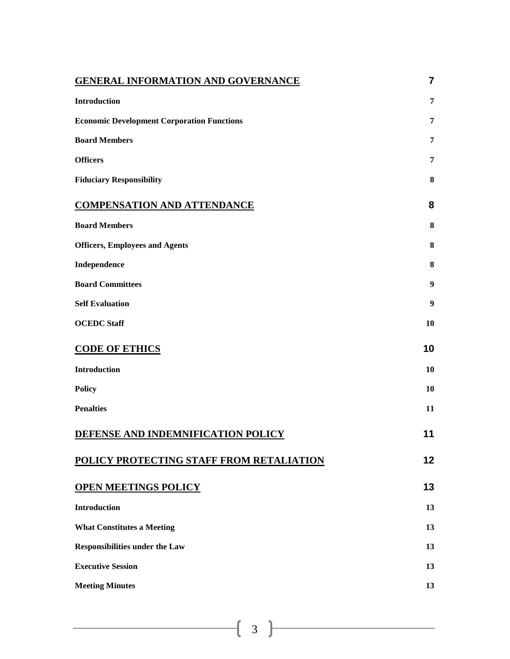| <b>GENERAL INFORMATION AND GOVERNANCE</b>         | $\overline{7}$ |
|---------------------------------------------------|----------------|
| Introduction                                      | 7              |
| <b>Economic Development Corporation Functions</b> | 7              |
| <b>Board Members</b>                              | 7              |
| <b>Officers</b>                                   | 7              |
| <b>Fiduciary Responsibility</b>                   | 8              |
| <b>COMPENSATION AND ATTENDANCE</b>                | 8              |
| <b>Board Members</b>                              | 8              |
| <b>Officers, Employees and Agents</b>             | 8              |
| Independence                                      | 8              |
| <b>Board Committees</b>                           | 9              |
| <b>Self Evaluation</b>                            | 9              |
| <b>OCEDC</b> Staff                                | 10             |
| <b>CODE OF ETHICS</b>                             | 10             |
| <b>Introduction</b>                               | 10             |
| <b>Policy</b>                                     | 10             |
| <b>Penalties</b>                                  | 11             |
| DEFENSE AND INDEMNIFICATION POLICY                | 11             |
| POLICY PROTECTING STAFF FROM RETALIATION          | 12             |
| <b>OPEN MEETINGS POLICY</b>                       | 13             |
| <b>Introduction</b>                               | 13             |
| <b>What Constitutes a Meeting</b>                 | 13             |
| Responsibilities under the Law                    | 13             |
| <b>Executive Session</b>                          | 13             |
| <b>Meeting Minutes</b>                            | 13             |
|                                                   |                |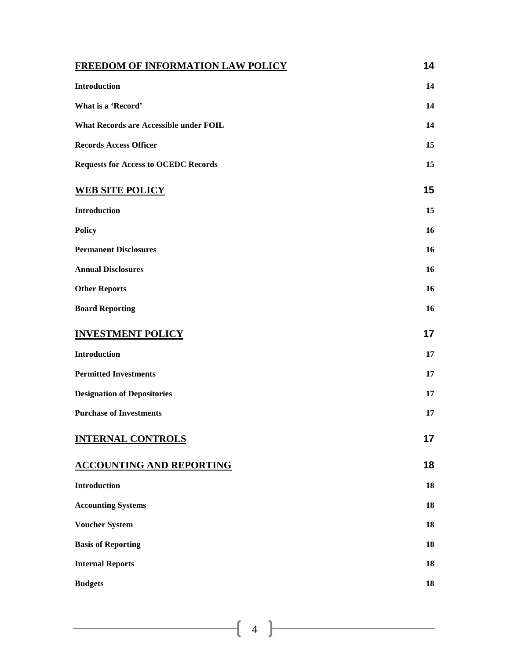| FREEDOM OF INFORMATION LAW POLICY           | 14 |
|---------------------------------------------|----|
| <b>Introduction</b>                         | 14 |
| What is a 'Record'                          | 14 |
| What Records are Accessible under FOIL      | 14 |
| <b>Records Access Officer</b>               | 15 |
| <b>Requests for Access to OCEDC Records</b> | 15 |
| <b>WEB SITE POLICY</b>                      | 15 |
| Introduction                                | 15 |
| <b>Policy</b>                               | 16 |
| <b>Permanent Disclosures</b>                | 16 |
| <b>Annual Disclosures</b>                   | 16 |
| <b>Other Reports</b>                        | 16 |
| <b>Board Reporting</b>                      | 16 |
| <b>INVESTMENT POLICY</b>                    | 17 |
| <b>Introduction</b>                         | 17 |
| <b>Permitted Investments</b>                | 17 |
| <b>Designation of Depositories</b>          | 17 |
| <b>Purchase of Investments</b>              | 17 |
| <b>INTERNAL CONTROLS</b>                    | 17 |
| <b>ACCOUNTING AND REPORTING</b>             | 18 |
| <b>Introduction</b>                         | 18 |
| <b>Accounting Systems</b>                   | 18 |
| <b>Voucher System</b>                       | 18 |
| <b>Basis of Reporting</b>                   | 18 |
| <b>Internal Reports</b>                     | 18 |
| <b>Budgets</b>                              | 18 |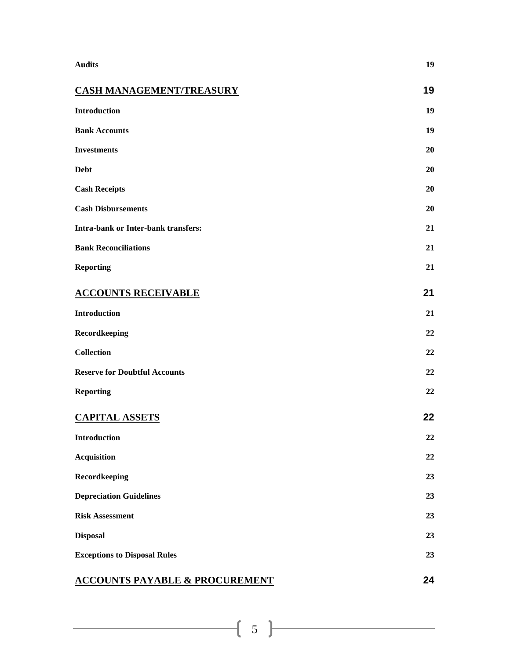| <b>Audits</b>                              | 19 |
|--------------------------------------------|----|
| <b>CASH MANAGEMENT/TREASURY</b>            | 19 |
| Introduction                               | 19 |
| <b>Bank Accounts</b>                       | 19 |
| <b>Investments</b>                         | 20 |
| <b>Debt</b>                                | 20 |
| <b>Cash Receipts</b>                       | 20 |
| <b>Cash Disbursements</b>                  | 20 |
| <b>Intra-bank or Inter-bank transfers:</b> | 21 |
| <b>Bank Reconciliations</b>                | 21 |
| <b>Reporting</b>                           | 21 |
| <b>ACCOUNTS RECEIVABLE</b>                 | 21 |
| <b>Introduction</b>                        | 21 |
| Recordkeeping                              | 22 |
| <b>Collection</b>                          | 22 |
| <b>Reserve for Doubtful Accounts</b>       | 22 |
| <b>Reporting</b>                           | 22 |
| <b>CAPITAL ASSETS</b>                      | 22 |
| <b>Introduction</b>                        | 22 |
| <b>Acquisition</b>                         | 22 |
| Recordkeeping                              | 23 |
| <b>Depreciation Guidelines</b>             | 23 |
| <b>Risk Assessment</b>                     | 23 |
| <b>Disposal</b>                            | 23 |
| <b>Exceptions to Disposal Rules</b>        | 23 |
| <b>ACCOUNTS PAYABLE &amp; PROCUREMENT</b>  | 24 |

# 5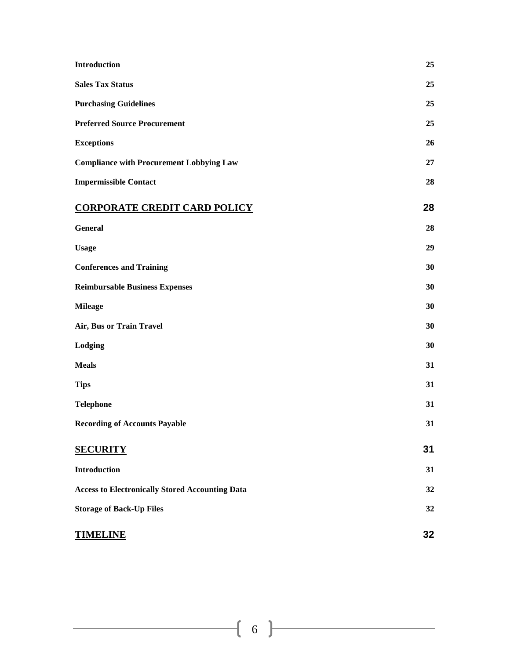| Introduction                                           | 25 |
|--------------------------------------------------------|----|
| <b>Sales Tax Status</b>                                | 25 |
| <b>Purchasing Guidelines</b>                           | 25 |
| <b>Preferred Source Procurement</b>                    | 25 |
| <b>Exceptions</b>                                      | 26 |
| <b>Compliance with Procurement Lobbying Law</b>        | 27 |
| <b>Impermissible Contact</b>                           | 28 |
| <b>CORPORATE CREDIT CARD POLICY</b>                    | 28 |
| <b>General</b>                                         | 28 |
| <b>Usage</b>                                           | 29 |
| <b>Conferences and Training</b>                        | 30 |
| <b>Reimbursable Business Expenses</b>                  | 30 |
| <b>Mileage</b>                                         | 30 |
| Air, Bus or Train Travel                               | 30 |
| Lodging                                                | 30 |
| <b>Meals</b>                                           | 31 |
| <b>Tips</b>                                            | 31 |
| <b>Telephone</b>                                       | 31 |
| <b>Recording of Accounts Payable</b>                   | 31 |
| <b>SECURITY</b>                                        | 31 |
| <b>Introduction</b>                                    | 31 |
| <b>Access to Electronically Stored Accounting Data</b> | 32 |
| <b>Storage of Back-Up Files</b>                        | 32 |
| <b>TIMELINE</b>                                        | 32 |

## $\begin{array}{|c|c|c|c|c|}\hline \hspace{1.5cm}&6\hspace{1.5cm}&\hspace{1.5cm}\text{---} \hspace{1.5cm} \end{array}$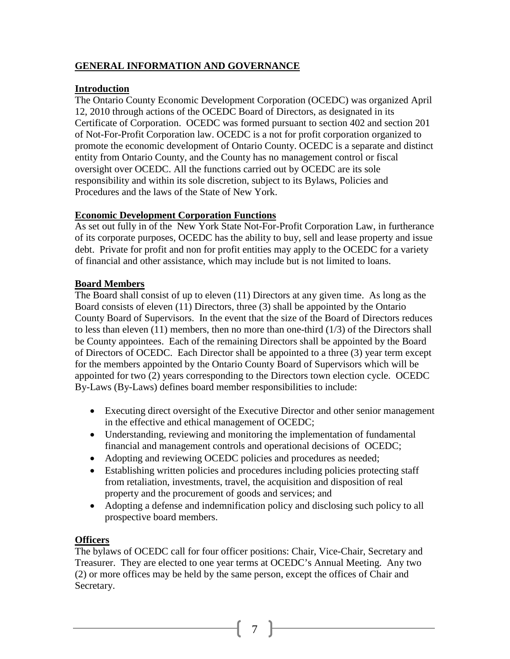## **GENERAL INFORMATION AND GOVERNANCE**

#### **Introduction**

The Ontario County Economic Development Corporation (OCEDC) was organized April 12, 2010 through actions of the OCEDC Board of Directors, as designated in its Certificate of Corporation. OCEDC was formed pursuant to section 402 and section 201 of Not-For-Profit Corporation law. OCEDC is a not for profit corporation organized to promote the economic development of Ontario County. OCEDC is a separate and distinct entity from Ontario County, and the County has no management control or fiscal oversight over OCEDC. All the functions carried out by OCEDC are its sole responsibility and within its sole discretion, subject to its Bylaws, Policies and Procedures and the laws of the State of New York.

#### **Economic Development Corporation Functions**

As set out fully in of the New York State Not-For-Profit Corporation Law, in furtherance of its corporate purposes, OCEDC has the ability to buy, sell and lease property and issue debt. Private for profit and non for profit entities may apply to the OCEDC for a variety of financial and other assistance, which may include but is not limited to loans.

#### **Board Members**

The Board shall consist of up to eleven (11) Directors at any given time. As long as the Board consists of eleven (11) Directors, three (3) shall be appointed by the Ontario County Board of Supervisors. In the event that the size of the Board of Directors reduces to less than eleven (11) members, then no more than one-third (1/3) of the Directors shall be County appointees. Each of the remaining Directors shall be appointed by the Board of Directors of OCEDC. Each Director shall be appointed to a three (3) year term except for the members appointed by the Ontario County Board of Supervisors which will be appointed for two (2) years corresponding to the Directors town election cycle. OCEDC By-Laws (By-Laws) defines board member responsibilities to include:

- Executing direct oversight of the Executive Director and other senior management in the effective and ethical management of OCEDC;
- Understanding, reviewing and monitoring the implementation of fundamental financial and management controls and operational decisions of OCEDC;
- Adopting and reviewing OCEDC policies and procedures as needed;
- Establishing written policies and procedures including policies protecting staff from retaliation, investments, travel, the acquisition and disposition of real property and the procurement of goods and services; and
- Adopting a defense and indemnification policy and disclosing such policy to all prospective board members.

#### **Officers**

The bylaws of OCEDC call for four officer positions: Chair, Vice-Chair, Secretary and Treasurer. They are elected to one year terms at OCEDC's Annual Meeting. Any two (2) or more offices may be held by the same person, except the offices of Chair and Secretary.

7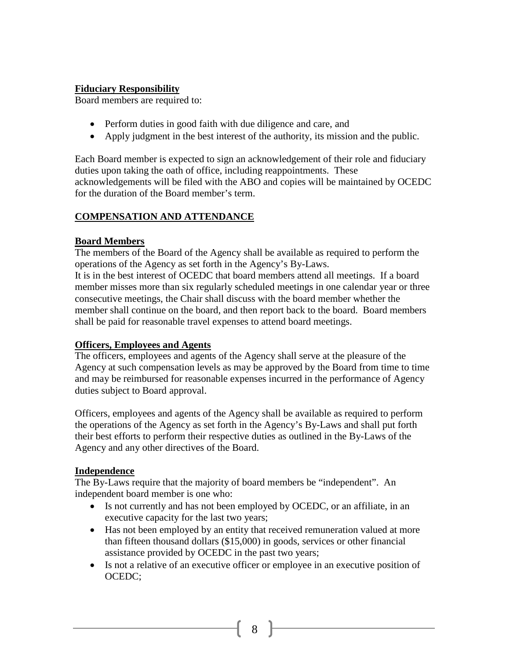#### **Fiduciary Responsibility**

Board members are required to:

- Perform duties in good faith with due diligence and care, and
- Apply judgment in the best interest of the authority, its mission and the public.

Each Board member is expected to sign an acknowledgement of their role and fiduciary duties upon taking the oath of office, including reappointments. These acknowledgements will be filed with the ABO and copies will be maintained by OCEDC for the duration of the Board member's term.

## **COMPENSATION AND ATTENDANCE**

#### **Board Members**

The members of the Board of the Agency shall be available as required to perform the operations of the Agency as set forth in the Agency's By-Laws.

It is in the best interest of OCEDC that board members attend all meetings. If a board member misses more than six regularly scheduled meetings in one calendar year or three consecutive meetings, the Chair shall discuss with the board member whether the member shall continue on the board, and then report back to the board. Board members shall be paid for reasonable travel expenses to attend board meetings.

#### **Officers, Employees and Agents**

The officers, employees and agents of the Agency shall serve at the pleasure of the Agency at such compensation levels as may be approved by the Board from time to time and may be reimbursed for reasonable expenses incurred in the performance of Agency duties subject to Board approval.

Officers, employees and agents of the Agency shall be available as required to perform the operations of the Agency as set forth in the Agency's By-Laws and shall put forth their best efforts to perform their respective duties as outlined in the By-Laws of the Agency and any other directives of the Board.

#### **Independence**

The By-Laws require that the majority of board members be "independent". An independent board member is one who:

- Is not currently and has not been employed by OCEDC, or an affiliate, in an executive capacity for the last two years;
- Has not been employed by an entity that received remuneration valued at more than fifteen thousand dollars (\$15,000) in goods, services or other financial assistance provided by OCEDC in the past two years;
- Is not a relative of an executive officer or employee in an executive position of OCEDC;

8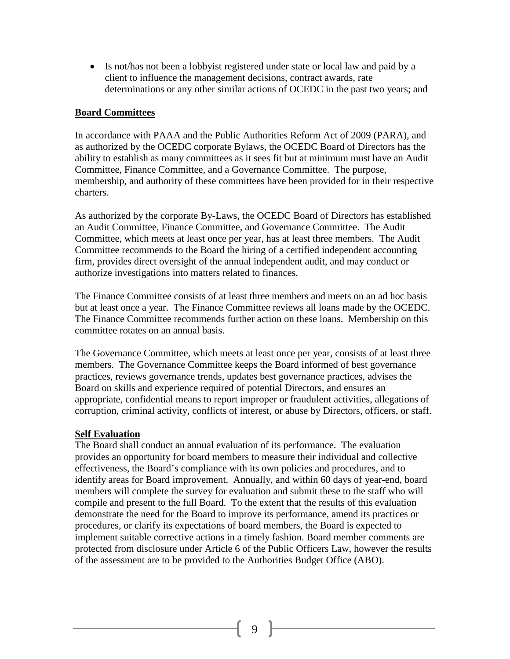• Is not/has not been a lobbyist registered under state or local law and paid by a client to influence the management decisions, contract awards, rate determinations or any other similar actions of OCEDC in the past two years; and

#### **Board Committees**

In accordance with PAAA and the Public Authorities Reform Act of 2009 (PARA), and as authorized by the OCEDC corporate Bylaws, the OCEDC Board of Directors has the ability to establish as many committees as it sees fit but at minimum must have an Audit Committee, Finance Committee, and a Governance Committee. The purpose, membership, and authority of these committees have been provided for in their respective charters.

As authorized by the corporate By-Laws, the OCEDC Board of Directors has established an Audit Committee, Finance Committee, and Governance Committee. The Audit Committee, which meets at least once per year, has at least three members. The Audit Committee recommends to the Board the hiring of a certified independent accounting firm, provides direct oversight of the annual independent audit, and may conduct or authorize investigations into matters related to finances.

The Finance Committee consists of at least three members and meets on an ad hoc basis but at least once a year. The Finance Committee reviews all loans made by the OCEDC. The Finance Committee recommends further action on these loans. Membership on this committee rotates on an annual basis.

The Governance Committee, which meets at least once per year, consists of at least three members. The Governance Committee keeps the Board informed of best governance practices, reviews governance trends, updates best governance practices, advises the Board on skills and experience required of potential Directors, and ensures an appropriate, confidential means to report improper or fraudulent activities, allegations of corruption, criminal activity, conflicts of interest, or abuse by Directors, officers, or staff.

#### **Self Evaluation**

The Board shall conduct an annual evaluation of its performance. The evaluation provides an opportunity for board members to measure their individual and collective effectiveness, the Board's compliance with its own policies and procedures, and to identify areas for Board improvement. Annually, and within 60 days of year-end, board members will complete the survey for evaluation and submit these to the staff who will compile and present to the full Board. To the extent that the results of this evaluation demonstrate the need for the Board to improve its performance, amend its practices or procedures, or clarify its expectations of board members, the Board is expected to implement suitable corrective actions in a timely fashion. Board member comments are protected from disclosure under Article 6 of the Public Officers Law, however the results of the assessment are to be provided to the Authorities Budget Office (ABO).

 $9 \parallel$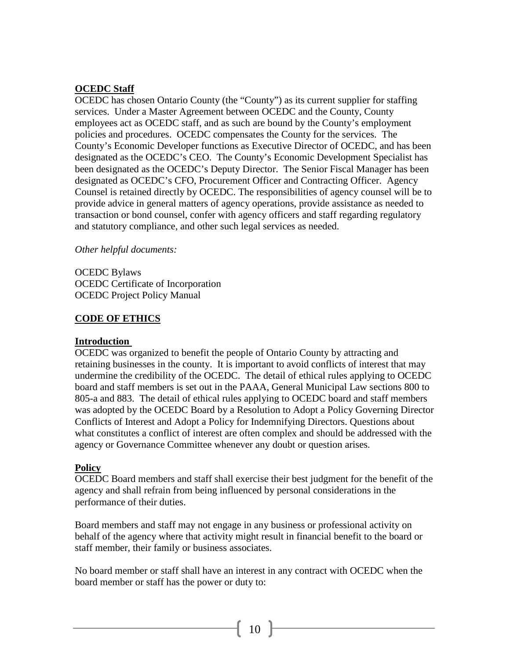#### **OCEDC Staff**

OCEDC has chosen Ontario County (the "County") as its current supplier for staffing services. Under a Master Agreement between OCEDC and the County, County employees act as OCEDC staff, and as such are bound by the County's employment policies and procedures. OCEDC compensates the County for the services. The County's Economic Developer functions as Executive Director of OCEDC, and has been designated as the OCEDC's CEO. The County's Economic Development Specialist has been designated as the OCEDC's Deputy Director. The Senior Fiscal Manager has been designated as OCEDC's CFO, Procurement Officer and Contracting Officer. Agency Counsel is retained directly by OCEDC. The responsibilities of agency counsel will be to provide advice in general matters of agency operations, provide assistance as needed to transaction or bond counsel, confer with agency officers and staff regarding regulatory and statutory compliance, and other such legal services as needed.

#### *Other helpful documents:*

OCEDC Bylaws OCEDC Certificate of Incorporation OCEDC Project Policy Manual

#### **CODE OF ETHICS**

#### **Introduction**

OCEDC was organized to benefit the people of Ontario County by attracting and retaining businesses in the county. It is important to avoid conflicts of interest that may undermine the credibility of the OCEDC. The detail of ethical rules applying to OCEDC board and staff members is set out in the PAAA, General Municipal Law sections 800 to 805-a and 883. The detail of ethical rules applying to OCEDC board and staff members was adopted by the OCEDC Board by a Resolution to Adopt a Policy Governing Director Conflicts of Interest and Adopt a Policy for Indemnifying Directors. Questions about what constitutes a conflict of interest are often complex and should be addressed with the agency or Governance Committee whenever any doubt or question arises.

#### **Policy**

OCEDC Board members and staff shall exercise their best judgment for the benefit of the agency and shall refrain from being influenced by personal considerations in the performance of their duties.

Board members and staff may not engage in any business or professional activity on behalf of the agency where that activity might result in financial benefit to the board or staff member, their family or business associates.

No board member or staff shall have an interest in any contract with OCEDC when the board member or staff has the power or duty to: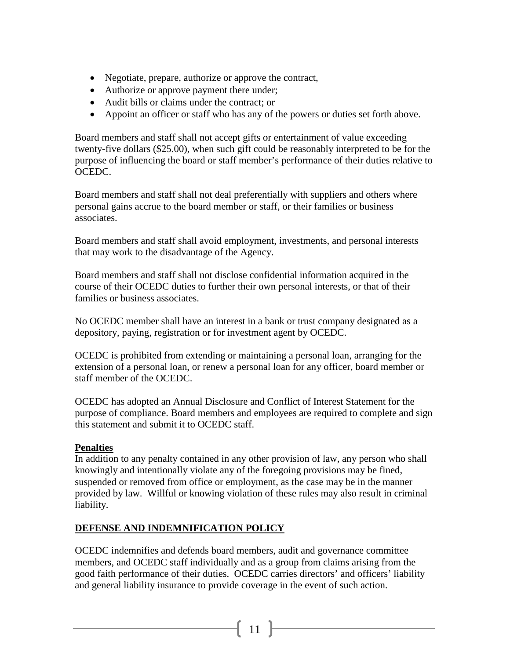- Negotiate, prepare, authorize or approve the contract,
- Authorize or approve payment there under;
- Audit bills or claims under the contract; or
- Appoint an officer or staff who has any of the powers or duties set forth above.

Board members and staff shall not accept gifts or entertainment of value exceeding twenty-five dollars (\$25.00), when such gift could be reasonably interpreted to be for the purpose of influencing the board or staff member's performance of their duties relative to OCEDC.

Board members and staff shall not deal preferentially with suppliers and others where personal gains accrue to the board member or staff, or their families or business associates.

Board members and staff shall avoid employment, investments, and personal interests that may work to the disadvantage of the Agency.

Board members and staff shall not disclose confidential information acquired in the course of their OCEDC duties to further their own personal interests, or that of their families or business associates.

No OCEDC member shall have an interest in a bank or trust company designated as a depository, paying, registration or for investment agent by OCEDC.

OCEDC is prohibited from extending or maintaining a personal loan, arranging for the extension of a personal loan, or renew a personal loan for any officer, board member or staff member of the OCEDC.

OCEDC has adopted an Annual Disclosure and Conflict of Interest Statement for the purpose of compliance. Board members and employees are required to complete and sign this statement and submit it to OCEDC staff.

#### **Penalties**

In addition to any penalty contained in any other provision of law, any person who shall knowingly and intentionally violate any of the foregoing provisions may be fined, suspended or removed from office or employment, as the case may be in the manner provided by law. Willful or knowing violation of these rules may also result in criminal liability.

## **DEFENSE AND INDEMNIFICATION POLICY**

OCEDC indemnifies and defends board members, audit and governance committee members, and OCEDC staff individually and as a group from claims arising from the good faith performance of their duties. OCEDC carries directors' and officers' liability and general liability insurance to provide coverage in the event of such action.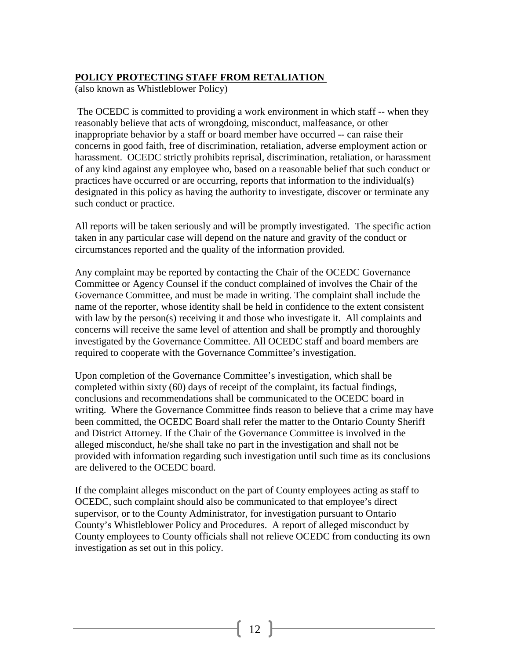## **POLICY PROTECTING STAFF FROM RETALIATION**

(also known as Whistleblower Policy)

The OCEDC is committed to providing a work environment in which staff -- when they reasonably believe that acts of wrongdoing, misconduct, malfeasance, or other inappropriate behavior by a staff or board member have occurred -- can raise their concerns in good faith, free of discrimination, retaliation, adverse employment action or harassment. OCEDC strictly prohibits reprisal, discrimination, retaliation, or harassment of any kind against any employee who, based on a reasonable belief that such conduct or practices have occurred or are occurring, reports that information to the individual(s) designated in this policy as having the authority to investigate, discover or terminate any such conduct or practice.

All reports will be taken seriously and will be promptly investigated. The specific action taken in any particular case will depend on the nature and gravity of the conduct or circumstances reported and the quality of the information provided.

Any complaint may be reported by contacting the Chair of the OCEDC Governance Committee or Agency Counsel if the conduct complained of involves the Chair of the Governance Committee, and must be made in writing. The complaint shall include the name of the reporter, whose identity shall be held in confidence to the extent consistent with law by the person(s) receiving it and those who investigate it. All complaints and concerns will receive the same level of attention and shall be promptly and thoroughly investigated by the Governance Committee. All OCEDC staff and board members are required to cooperate with the Governance Committee's investigation.

Upon completion of the Governance Committee's investigation, which shall be completed within sixty (60) days of receipt of the complaint, its factual findings, conclusions and recommendations shall be communicated to the OCEDC board in writing. Where the Governance Committee finds reason to believe that a crime may have been committed, the OCEDC Board shall refer the matter to the Ontario County Sheriff and District Attorney. If the Chair of the Governance Committee is involved in the alleged misconduct, he/she shall take no part in the investigation and shall not be provided with information regarding such investigation until such time as its conclusions are delivered to the OCEDC board.

If the complaint alleges misconduct on the part of County employees acting as staff to OCEDC, such complaint should also be communicated to that employee's direct supervisor, or to the County Administrator, for investigation pursuant to Ontario County's Whistleblower Policy and Procedures. A report of alleged misconduct by County employees to County officials shall not relieve OCEDC from conducting its own investigation as set out in this policy.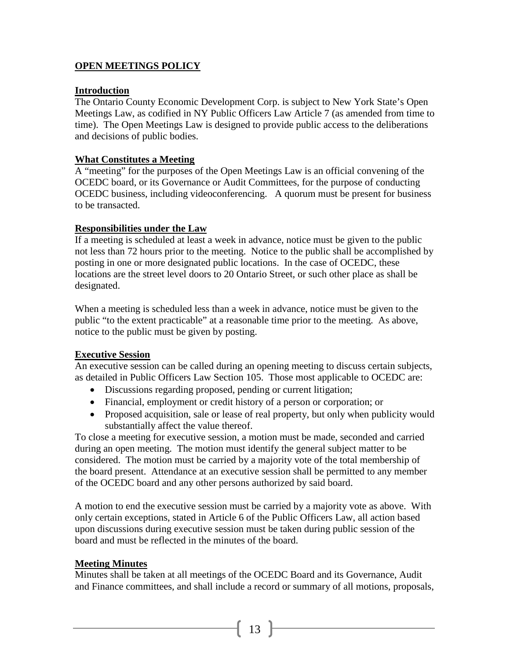## **OPEN MEETINGS POLICY**

#### **Introduction**

The Ontario County Economic Development Corp. is subject to New York State's Open Meetings Law, as codified in NY Public Officers Law Article 7 (as amended from time to time). The Open Meetings Law is designed to provide public access to the deliberations and decisions of public bodies.

#### **What Constitutes a Meeting**

A "meeting" for the purposes of the Open Meetings Law is an official convening of the OCEDC board, or its Governance or Audit Committees, for the purpose of conducting OCEDC business, including videoconferencing. A quorum must be present for business to be transacted.

#### **Responsibilities under the Law**

If a meeting is scheduled at least a week in advance, notice must be given to the public not less than 72 hours prior to the meeting. Notice to the public shall be accomplished by posting in one or more designated public locations. In the case of OCEDC, these locations are the street level doors to 20 Ontario Street, or such other place as shall be designated.

When a meeting is scheduled less than a week in advance, notice must be given to the public "to the extent practicable" at a reasonable time prior to the meeting. As above, notice to the public must be given by posting.

#### **Executive Session**

An executive session can be called during an opening meeting to discuss certain subjects, as detailed in Public Officers Law Section 105. Those most applicable to OCEDC are:

- Discussions regarding proposed, pending or current litigation;
- Financial, employment or credit history of a person or corporation; or
- Proposed acquisition, sale or lease of real property, but only when publicity would substantially affect the value thereof.

To close a meeting for executive session, a motion must be made, seconded and carried during an open meeting. The motion must identify the general subject matter to be considered. The motion must be carried by a majority vote of the total membership of the board present. Attendance at an executive session shall be permitted to any member of the OCEDC board and any other persons authorized by said board.

A motion to end the executive session must be carried by a majority vote as above. With only certain exceptions, stated in Article 6 of the Public Officers Law, all action based upon discussions during executive session must be taken during public session of the board and must be reflected in the minutes of the board.

#### **Meeting Minutes**

Minutes shall be taken at all meetings of the OCEDC Board and its Governance, Audit and Finance committees, and shall include a record or summary of all motions, proposals,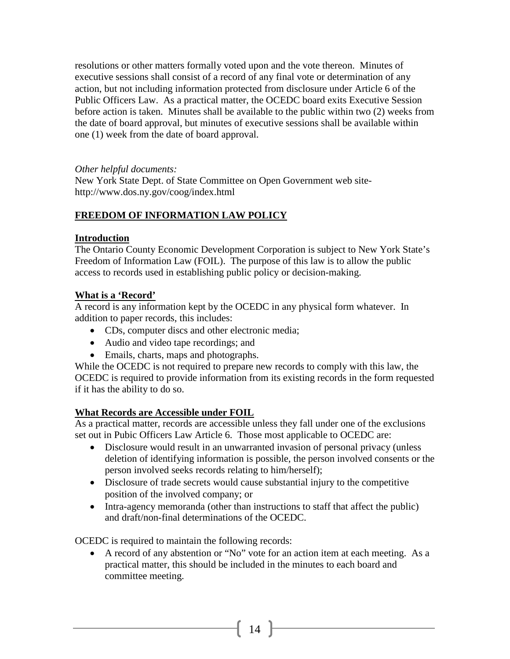resolutions or other matters formally voted upon and the vote thereon. Minutes of executive sessions shall consist of a record of any final vote or determination of any action, but not including information protected from disclosure under Article 6 of the Public Officers Law. As a practical matter, the OCEDC board exits Executive Session before action is taken. Minutes shall be available to the public within two (2) weeks from the date of board approval, but minutes of executive sessions shall be available within one (1) week from the date of board approval.

#### *Other helpful documents:*

New York State Dept. of State Committee on Open Government web sitehttp://www.dos.ny.gov/coog/index.html

## **FREEDOM OF INFORMATION LAW POLICY**

#### **Introduction**

The Ontario County Economic Development Corporation is subject to New York State's Freedom of Information Law (FOIL). The purpose of this law is to allow the public access to records used in establishing public policy or decision-making.

#### **What is a 'Record'**

A record is any information kept by the OCEDC in any physical form whatever. In addition to paper records, this includes:

- CDs, computer discs and other electronic media;
- Audio and video tape recordings; and
- Emails, charts, maps and photographs.

While the OCEDC is not required to prepare new records to comply with this law, the OCEDC is required to provide information from its existing records in the form requested if it has the ability to do so.

#### **What Records are Accessible under FOIL**

As a practical matter, records are accessible unless they fall under one of the exclusions set out in Pubic Officers Law Article 6. Those most applicable to OCEDC are:

- Disclosure would result in an unwarranted invasion of personal privacy (unless deletion of identifying information is possible, the person involved consents or the person involved seeks records relating to him/herself);
- Disclosure of trade secrets would cause substantial injury to the competitive position of the involved company; or
- Intra-agency memoranda (other than instructions to staff that affect the public) and draft/non-final determinations of the OCEDC.

OCEDC is required to maintain the following records:

• A record of any abstention or "No" vote for an action item at each meeting. As a practical matter, this should be included in the minutes to each board and committee meeting.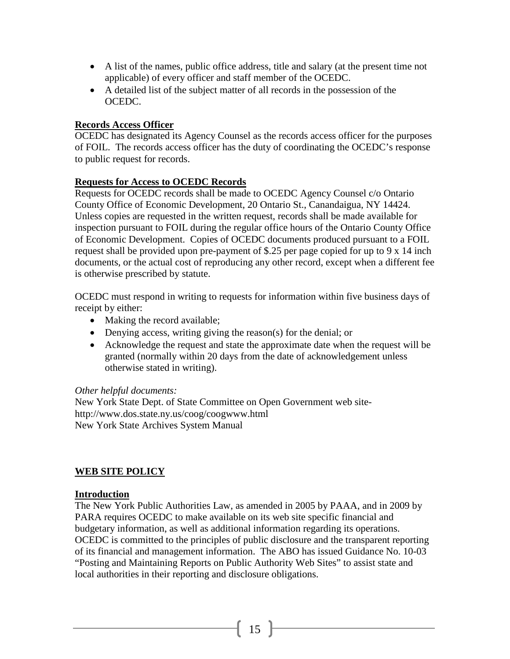- A list of the names, public office address, title and salary (at the present time not applicable) of every officer and staff member of the OCEDC.
- A detailed list of the subject matter of all records in the possession of the OCEDC.

#### **Records Access Officer**

OCEDC has designated its Agency Counsel as the records access officer for the purposes of FOIL. The records access officer has the duty of coordinating the OCEDC's response to public request for records.

#### **Requests for Access to OCEDC Records**

Requests for OCEDC records shall be made to OCEDC Agency Counsel c/o Ontario County Office of Economic Development, 20 Ontario St., Canandaigua, NY 14424. Unless copies are requested in the written request, records shall be made available for inspection pursuant to FOIL during the regular office hours of the Ontario County Office of Economic Development. Copies of OCEDC documents produced pursuant to a FOIL request shall be provided upon pre-payment of \$.25 per page copied for up to 9 x 14 inch documents, or the actual cost of reproducing any other record, except when a different fee is otherwise prescribed by statute.

OCEDC must respond in writing to requests for information within five business days of receipt by either:

- Making the record available;
- Denying access, writing giving the reason(s) for the denial; or
- Acknowledge the request and state the approximate date when the request will be granted (normally within 20 days from the date of acknowledgement unless otherwise stated in writing).

#### *Other helpful documents:*

New York State Dept. of State Committee on Open Government web sitehttp://www.dos.state.ny.us/coog/coogwww.html New York State Archives System Manual

#### **WEB SITE POLICY**

#### **Introduction**

The New York Public Authorities Law, as amended in 2005 by PAAA, and in 2009 by PARA requires OCEDC to make available on its web site specific financial and budgetary information, as well as additional information regarding its operations. OCEDC is committed to the principles of public disclosure and the transparent reporting of its financial and management information. The ABO has issued Guidance No. 10-03 "Posting and Maintaining Reports on Public Authority Web Sites" to assist state and local authorities in their reporting and disclosure obligations.

 $\begin{bmatrix} 15 \end{bmatrix}$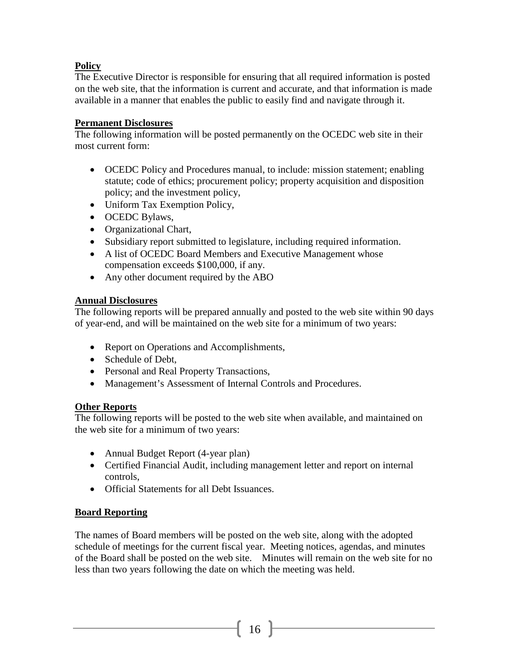## **Policy**

The Executive Director is responsible for ensuring that all required information is posted on the web site, that the information is current and accurate, and that information is made available in a manner that enables the public to easily find and navigate through it.

#### **Permanent Disclosures**

The following information will be posted permanently on the OCEDC web site in their most current form:

- OCEDC Policy and Procedures manual, to include: mission statement; enabling statute; code of ethics; procurement policy; property acquisition and disposition policy; and the investment policy,
- Uniform Tax Exemption Policy,
- OCEDC Bylaws,
- Organizational Chart,
- Subsidiary report submitted to legislature, including required information.
- A list of OCEDC Board Members and Executive Management whose compensation exceeds \$100,000, if any.
- Any other document required by the ABO

#### **Annual Disclosures**

The following reports will be prepared annually and posted to the web site within 90 days of year-end, and will be maintained on the web site for a minimum of two years:

- Report on Operations and Accomplishments,
- Schedule of Debt,
- Personal and Real Property Transactions,
- Management's Assessment of Internal Controls and Procedures.

#### **Other Reports**

The following reports will be posted to the web site when available, and maintained on the web site for a minimum of two years:

- Annual Budget Report (4-year plan)
- Certified Financial Audit, including management letter and report on internal controls,
- Official Statements for all Debt Issuances.

#### **Board Reporting**

The names of Board members will be posted on the web site, along with the adopted schedule of meetings for the current fiscal year. Meeting notices, agendas, and minutes of the Board shall be posted on the web site. Minutes will remain on the web site for no less than two years following the date on which the meeting was held.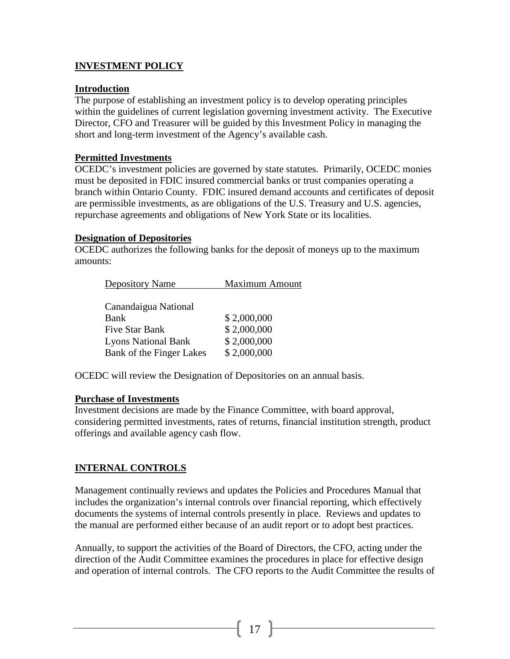## **INVESTMENT POLICY**

#### **Introduction**

The purpose of establishing an investment policy is to develop operating principles within the guidelines of current legislation governing investment activity. The Executive Director, CFO and Treasurer will be guided by this Investment Policy in managing the short and long-term investment of the Agency's available cash.

#### **Permitted Investments**

OCEDC's investment policies are governed by state statutes. Primarily, OCEDC monies must be deposited in FDIC insured commercial banks or trust companies operating a branch within Ontario County. FDIC insured demand accounts and certificates of deposit are permissible investments, as are obligations of the U.S. Treasury and U.S. agencies, repurchase agreements and obligations of New York State or its localities.

#### **Designation of Depositories**

OCEDC authorizes the following banks for the deposit of moneys up to the maximum amounts:

| <b>Maximum Amount</b> |  |  |
|-----------------------|--|--|
|                       |  |  |
|                       |  |  |
| \$2,000,000           |  |  |
| \$2,000,000           |  |  |
| \$2,000,000           |  |  |
| \$2,000,000           |  |  |
|                       |  |  |

OCEDC will review the Designation of Depositories on an annual basis.

#### **Purchase of Investments**

Investment decisions are made by the Finance Committee, with board approval, considering permitted investments, rates of returns, financial institution strength, product offerings and available agency cash flow.

## **INTERNAL CONTROLS**

Management continually reviews and updates the Policies and Procedures Manual that includes the organization's internal controls over financial reporting, which effectively documents the systems of internal controls presently in place. Reviews and updates to the manual are performed either because of an audit report or to adopt best practices.

Annually, to support the activities of the Board of Directors, the CFO, acting under the direction of the Audit Committee examines the procedures in place for effective design and operation of internal controls. The CFO reports to the Audit Committee the results of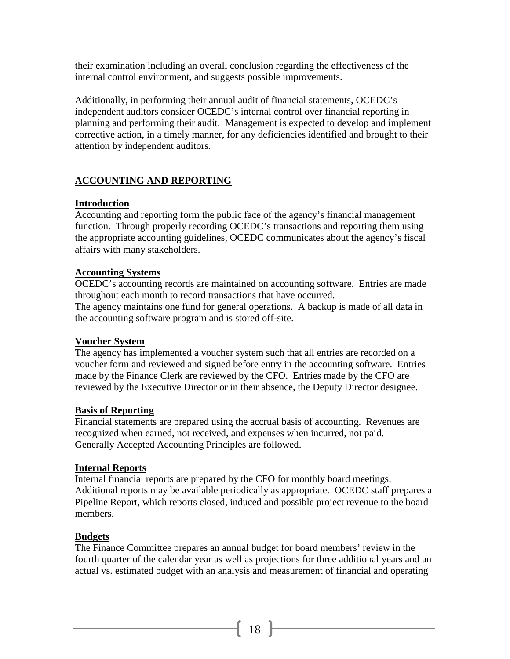their examination including an overall conclusion regarding the effectiveness of the internal control environment, and suggests possible improvements.

Additionally, in performing their annual audit of financial statements, OCEDC's independent auditors consider OCEDC's internal control over financial reporting in planning and performing their audit. Management is expected to develop and implement corrective action, in a timely manner, for any deficiencies identified and brought to their attention by independent auditors.

## **ACCOUNTING AND REPORTING**

## **Introduction**

Accounting and reporting form the public face of the agency's financial management function. Through properly recording OCEDC's transactions and reporting them using the appropriate accounting guidelines, OCEDC communicates about the agency's fiscal affairs with many stakeholders.

## **Accounting Systems**

OCEDC's accounting records are maintained on accounting software. Entries are made throughout each month to record transactions that have occurred.

The agency maintains one fund for general operations. A backup is made of all data in the accounting software program and is stored off-site.

#### **Voucher System**

The agency has implemented a voucher system such that all entries are recorded on a voucher form and reviewed and signed before entry in the accounting software. Entries made by the Finance Clerk are reviewed by the CFO. Entries made by the CFO are reviewed by the Executive Director or in their absence, the Deputy Director designee.

#### **Basis of Reporting**

Financial statements are prepared using the accrual basis of accounting. Revenues are recognized when earned, not received, and expenses when incurred, not paid. Generally Accepted Accounting Principles are followed.

#### **Internal Reports**

Internal financial reports are prepared by the CFO for monthly board meetings. Additional reports may be available periodically as appropriate. OCEDC staff prepares a Pipeline Report, which reports closed, induced and possible project revenue to the board members.

#### **Budgets**

The Finance Committee prepares an annual budget for board members' review in the fourth quarter of the calendar year as well as projections for three additional years and an actual vs. estimated budget with an analysis and measurement of financial and operating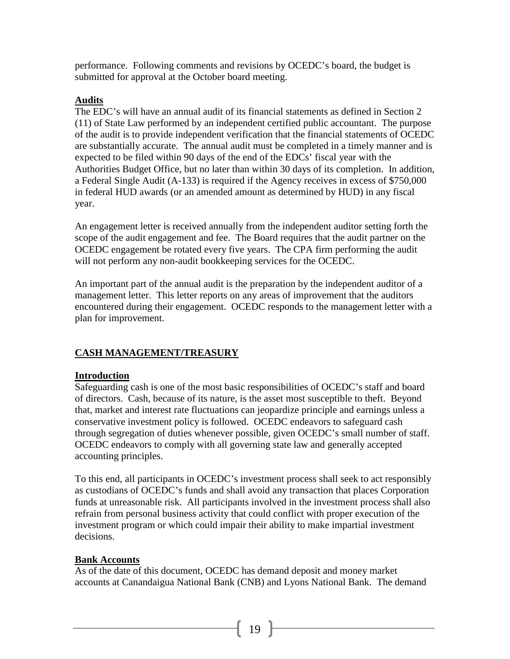performance. Following comments and revisions by OCEDC's board, the budget is submitted for approval at the October board meeting.

#### **Audits**

The EDC's will have an annual audit of its financial statements as defined in Section 2 (11) of State Law performed by an independent certified public accountant. The purpose of the audit is to provide independent verification that the financial statements of OCEDC are substantially accurate. The annual audit must be completed in a timely manner and is expected to be filed within 90 days of the end of the EDCs' fiscal year with the Authorities Budget Office, but no later than within 30 days of its completion. In addition, a Federal Single Audit (A-133) is required if the Agency receives in excess of \$750,000 in federal HUD awards (or an amended amount as determined by HUD) in any fiscal year.

An engagement letter is received annually from the independent auditor setting forth the scope of the audit engagement and fee. The Board requires that the audit partner on the OCEDC engagement be rotated every five years. The CPA firm performing the audit will not perform any non-audit bookkeeping services for the OCEDC.

An important part of the annual audit is the preparation by the independent auditor of a management letter. This letter reports on any areas of improvement that the auditors encountered during their engagement. OCEDC responds to the management letter with a plan for improvement.

## **CASH MANAGEMENT/TREASURY**

#### **Introduction**

Safeguarding cash is one of the most basic responsibilities of OCEDC's staff and board of directors. Cash, because of its nature, is the asset most susceptible to theft. Beyond that, market and interest rate fluctuations can jeopardize principle and earnings unless a conservative investment policy is followed. OCEDC endeavors to safeguard cash through segregation of duties whenever possible, given OCEDC's small number of staff. OCEDC endeavors to comply with all governing state law and generally accepted accounting principles.

To this end, all participants in OCEDC's investment process shall seek to act responsibly as custodians of OCEDC's funds and shall avoid any transaction that places Corporation funds at unreasonable risk. All participants involved in the investment process shall also refrain from personal business activity that could conflict with proper execution of the investment program or which could impair their ability to make impartial investment decisions.

#### **Bank Accounts**

As of the date of this document, OCEDC has demand deposit and money market accounts at Canandaigua National Bank (CNB) and Lyons National Bank. The demand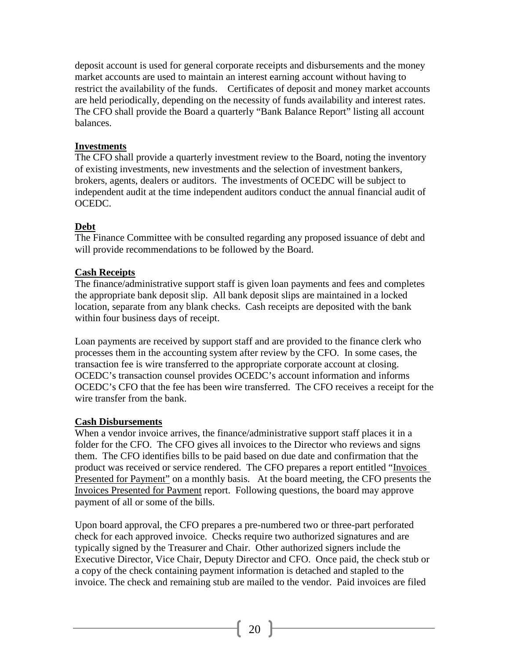deposit account is used for general corporate receipts and disbursements and the money market accounts are used to maintain an interest earning account without having to restrict the availability of the funds. Certificates of deposit and money market accounts are held periodically, depending on the necessity of funds availability and interest rates. The CFO shall provide the Board a quarterly "Bank Balance Report" listing all account balances.

#### **Investments**

The CFO shall provide a quarterly investment review to the Board, noting the inventory of existing investments, new investments and the selection of investment bankers, brokers, agents, dealers or auditors. The investments of OCEDC will be subject to independent audit at the time independent auditors conduct the annual financial audit of OCEDC.

#### **Debt**

The Finance Committee with be consulted regarding any proposed issuance of debt and will provide recommendations to be followed by the Board.

#### **Cash Receipts**

The finance/administrative support staff is given loan payments and fees and completes the appropriate bank deposit slip. All bank deposit slips are maintained in a locked location, separate from any blank checks. Cash receipts are deposited with the bank within four business days of receipt.

Loan payments are received by support staff and are provided to the finance clerk who processes them in the accounting system after review by the CFO. In some cases, the transaction fee is wire transferred to the appropriate corporate account at closing. OCEDC's transaction counsel provides OCEDC's account information and informs OCEDC's CFO that the fee has been wire transferred. The CFO receives a receipt for the wire transfer from the bank.

#### **Cash Disbursements**

When a vendor invoice arrives, the finance/administrative support staff places it in a folder for the CFO. The CFO gives all invoices to the Director who reviews and signs them. The CFO identifies bills to be paid based on due date and confirmation that the product was received or service rendered. The CFO prepares a report entitled "Invoices Presented for Payment" on a monthly basis. At the board meeting, the CFO presents the Invoices Presented for Payment report. Following questions, the board may approve payment of all or some of the bills.

Upon board approval, the CFO prepares a pre-numbered two or three-part perforated check for each approved invoice. Checks require two authorized signatures and are typically signed by the Treasurer and Chair. Other authorized signers include the Executive Director, Vice Chair, Deputy Director and CFO. Once paid, the check stub or a copy of the check containing payment information is detached and stapled to the invoice. The check and remaining stub are mailed to the vendor. Paid invoices are filed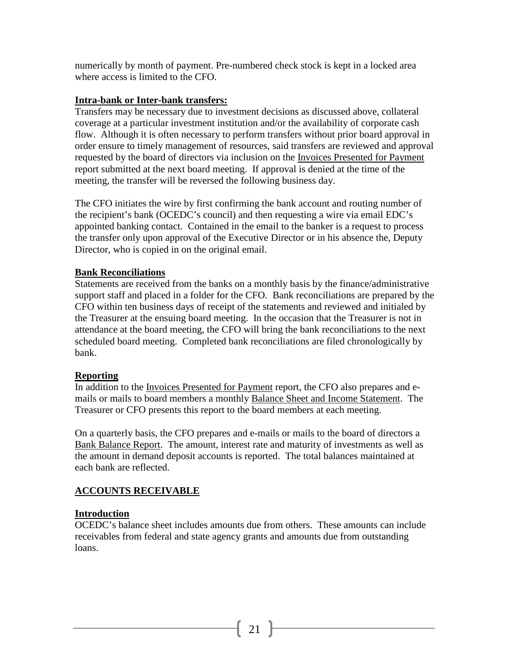numerically by month of payment. Pre-numbered check stock is kept in a locked area where access is limited to the CFO.

#### **Intra-bank or Inter-bank transfers:**

Transfers may be necessary due to investment decisions as discussed above, collateral coverage at a particular investment institution and/or the availability of corporate cash flow. Although it is often necessary to perform transfers without prior board approval in order ensure to timely management of resources, said transfers are reviewed and approval requested by the board of directors via inclusion on the Invoices Presented for Payment report submitted at the next board meeting. If approval is denied at the time of the meeting, the transfer will be reversed the following business day.

The CFO initiates the wire by first confirming the bank account and routing number of the recipient's bank (OCEDC's council) and then requesting a wire via email EDC's appointed banking contact. Contained in the email to the banker is a request to process the transfer only upon approval of the Executive Director or in his absence the, Deputy Director, who is copied in on the original email.

#### **Bank Reconciliations**

Statements are received from the banks on a monthly basis by the finance/administrative support staff and placed in a folder for the CFO. Bank reconciliations are prepared by the CFO within ten business days of receipt of the statements and reviewed and initialed by the Treasurer at the ensuing board meeting. In the occasion that the Treasurer is not in attendance at the board meeting, the CFO will bring the bank reconciliations to the next scheduled board meeting. Completed bank reconciliations are filed chronologically by bank.

#### **Reporting**

In addition to the Invoices Presented for Payment report, the CFO also prepares and emails or mails to board members a monthly Balance Sheet and Income Statement. The Treasurer or CFO presents this report to the board members at each meeting.

On a quarterly basis, the CFO prepares and e-mails or mails to the board of directors a Bank Balance Report. The amount, interest rate and maturity of investments as well as the amount in demand deposit accounts is reported. The total balances maintained at each bank are reflected.

#### **ACCOUNTS RECEIVABLE**

#### **Introduction**

OCEDC's balance sheet includes amounts due from others. These amounts can include receivables from federal and state agency grants and amounts due from outstanding loans.

 $21$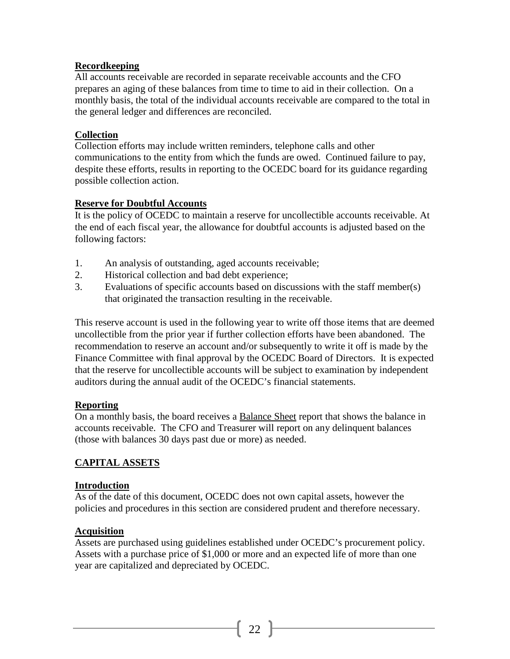#### **Recordkeeping**

All accounts receivable are recorded in separate receivable accounts and the CFO prepares an aging of these balances from time to time to aid in their collection. On a monthly basis, the total of the individual accounts receivable are compared to the total in the general ledger and differences are reconciled.

#### **Collection**

Collection efforts may include written reminders, telephone calls and other communications to the entity from which the funds are owed. Continued failure to pay, despite these efforts, results in reporting to the OCEDC board for its guidance regarding possible collection action.

#### **Reserve for Doubtful Accounts**

It is the policy of OCEDC to maintain a reserve for uncollectible accounts receivable. At the end of each fiscal year, the allowance for doubtful accounts is adjusted based on the following factors:

- 1. An analysis of outstanding, aged accounts receivable;
- 2. Historical collection and bad debt experience;
- 3. Evaluations of specific accounts based on discussions with the staff member(s) that originated the transaction resulting in the receivable.

This reserve account is used in the following year to write off those items that are deemed uncollectible from the prior year if further collection efforts have been abandoned. The recommendation to reserve an account and/or subsequently to write it off is made by the Finance Committee with final approval by the OCEDC Board of Directors. It is expected that the reserve for uncollectible accounts will be subject to examination by independent auditors during the annual audit of the OCEDC's financial statements.

#### **Reporting**

On a monthly basis, the board receives a Balance Sheet report that shows the balance in accounts receivable. The CFO and Treasurer will report on any delinquent balances (those with balances 30 days past due or more) as needed.

#### **CAPITAL ASSETS**

#### **Introduction**

As of the date of this document, OCEDC does not own capital assets, however the policies and procedures in this section are considered prudent and therefore necessary.

#### **Acquisition**

Assets are purchased using guidelines established under OCEDC's procurement policy. Assets with a purchase price of \$1,000 or more and an expected life of more than one year are capitalized and depreciated by OCEDC.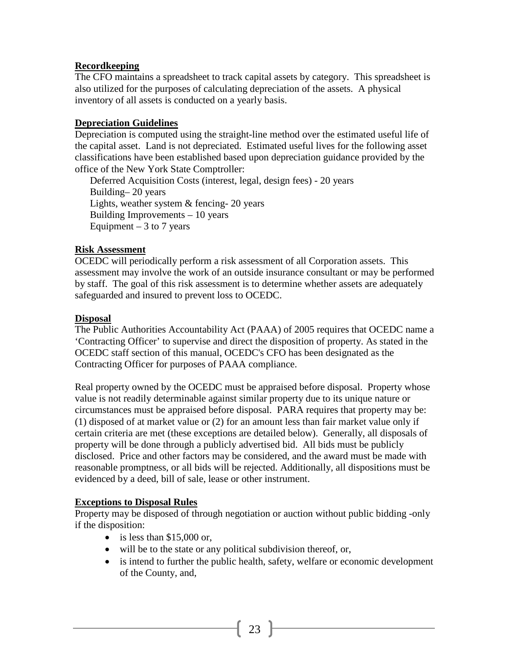#### **Recordkeeping**

The CFO maintains a spreadsheet to track capital assets by category. This spreadsheet is also utilized for the purposes of calculating depreciation of the assets. A physical inventory of all assets is conducted on a yearly basis.

#### **Depreciation Guidelines**

Depreciation is computed using the straight-line method over the estimated useful life of the capital asset. Land is not depreciated. Estimated useful lives for the following asset classifications have been established based upon depreciation guidance provided by the office of the New York State Comptroller:

Deferred Acquisition Costs (interest, legal, design fees) - 20 years Building– 20 years Lights, weather system & fencing- 20 years Building Improvements – 10 years Equipment  $-3$  to 7 years

#### **Risk Assessment**

OCEDC will periodically perform a risk assessment of all Corporation assets. This assessment may involve the work of an outside insurance consultant or may be performed by staff. The goal of this risk assessment is to determine whether assets are adequately safeguarded and insured to prevent loss to OCEDC.

#### **Disposal**

The Public Authorities Accountability Act (PAAA) of 2005 requires that OCEDC name a 'Contracting Officer' to supervise and direct the disposition of property. As stated in the OCEDC staff section of this manual, OCEDC's CFO has been designated as the Contracting Officer for purposes of PAAA compliance.

Real property owned by the OCEDC must be appraised before disposal. Property whose value is not readily determinable against similar property due to its unique nature or circumstances must be appraised before disposal. PARA requires that property may be: (1) disposed of at market value or (2) for an amount less than fair market value only if certain criteria are met (these exceptions are detailed below). Generally, all disposals of property will be done through a publicly advertised bid. All bids must be publicly disclosed. Price and other factors may be considered, and the award must be made with reasonable promptness, or all bids will be rejected. Additionally, all dispositions must be evidenced by a deed, bill of sale, lease or other instrument.

#### **Exceptions to Disposal Rules**

Property may be disposed of through negotiation or auction without public bidding -only if the disposition:

- is less than  $$15,000$  or,
- will be to the state or any political subdivision thereof, or,
- is intend to further the public health, safety, welfare or economic development of the County, and,

 $\begin{bmatrix} 23 \end{bmatrix}$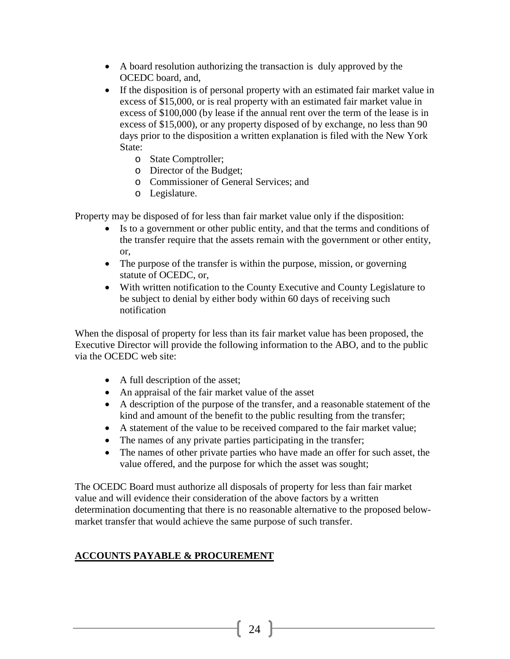- A board resolution authorizing the transaction is duly approved by the OCEDC board, and,
- If the disposition is of personal property with an estimated fair market value in excess of \$15,000, or is real property with an estimated fair market value in excess of \$100,000 (by lease if the annual rent over the term of the lease is in excess of \$15,000), or any property disposed of by exchange, no less than 90 days prior to the disposition a written explanation is filed with the New York State:
	- o State Comptroller;
	- o Director of the Budget;
	- o Commissioner of General Services; and
	- o Legislature.

Property may be disposed of for less than fair market value only if the disposition:

- Is to a government or other public entity, and that the terms and conditions of the transfer require that the assets remain with the government or other entity, or,
- The purpose of the transfer is within the purpose, mission, or governing statute of OCEDC, or,
- With written notification to the County Executive and County Legislature to be subject to denial by either body within 60 days of receiving such notification

When the disposal of property for less than its fair market value has been proposed, the Executive Director will provide the following information to the ABO, and to the public via the OCEDC web site:

- A full description of the asset;
- An appraisal of the fair market value of the asset
- A description of the purpose of the transfer, and a reasonable statement of the kind and amount of the benefit to the public resulting from the transfer;
- A statement of the value to be received compared to the fair market value;
- The names of any private parties participating in the transfer;
- The names of other private parties who have made an offer for such asset, the value offered, and the purpose for which the asset was sought;

The OCEDC Board must authorize all disposals of property for less than fair market value and will evidence their consideration of the above factors by a written determination documenting that there is no reasonable alternative to the proposed belowmarket transfer that would achieve the same purpose of such transfer.

#### **ACCOUNTS PAYABLE & PROCUREMENT**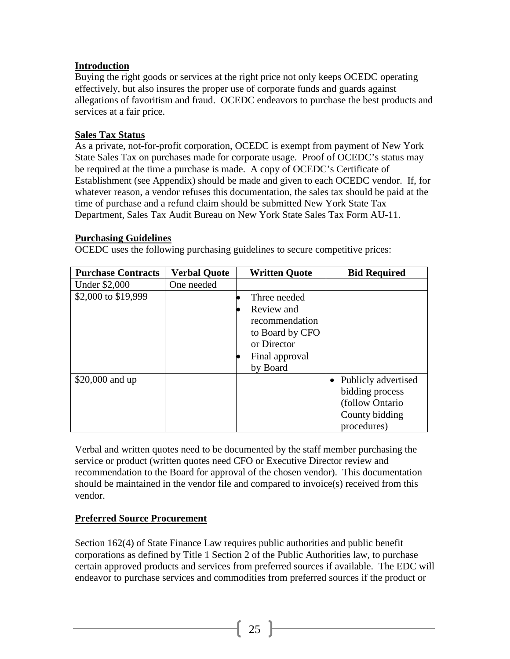## **Introduction**

Buying the right goods or services at the right price not only keeps OCEDC operating effectively, but also insures the proper use of corporate funds and guards against allegations of favoritism and fraud. OCEDC endeavors to purchase the best products and services at a fair price.

#### **Sales Tax Status**

As a private, not-for-profit corporation, OCEDC is exempt from payment of New York State Sales Tax on purchases made for corporate usage. Proof of OCEDC's status may be required at the time a purchase is made. A copy of OCEDC's Certificate of Establishment (see Appendix) should be made and given to each OCEDC vendor. If, for whatever reason, a vendor refuses this documentation, the sales tax should be paid at the time of purchase and a refund claim should be submitted New York State Tax Department, Sales Tax Audit Bureau on New York State Sales Tax Form AU-11.

#### **Purchasing Guidelines**

OCEDC uses the following purchasing guidelines to secure competitive prices:

| <b>Purchase Contracts</b> | <b>Verbal Quote</b> | <b>Written Quote</b> | <b>Bid Required</b>   |
|---------------------------|---------------------|----------------------|-----------------------|
| <b>Under \$2,000</b>      | One needed          |                      |                       |
| \$2,000 to \$19,999       |                     | Three needed         |                       |
|                           |                     | Review and           |                       |
|                           |                     | recommendation       |                       |
|                           |                     | to Board by CFO      |                       |
|                           |                     | or Director          |                       |
|                           |                     | Final approval       |                       |
|                           |                     | by Board             |                       |
| \$20,000 and up           |                     |                      | • Publicly advertised |
|                           |                     |                      | bidding process       |
|                           |                     |                      | (follow Ontario       |
|                           |                     |                      | County bidding        |
|                           |                     |                      | procedures)           |

Verbal and written quotes need to be documented by the staff member purchasing the service or product (written quotes need CFO or Executive Director review and recommendation to the Board for approval of the chosen vendor). This documentation should be maintained in the vendor file and compared to invoice(s) received from this vendor.

## **Preferred Source Procurement**

Section 162(4) of State Finance Law requires public authorities and public benefit corporations as defined by Title 1 Section 2 of the Public Authorities law, to purchase certain approved products and services from preferred sources if available. The EDC will endeavor to purchase services and commodities from preferred sources if the product or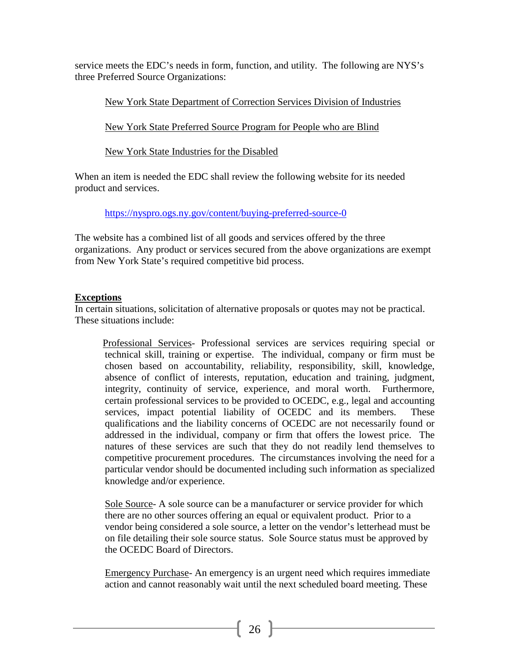service meets the EDC's needs in form, function, and utility. The following are NYS's three Preferred Source Organizations:

New York State Department of Correction Services Division of Industries

New York State Preferred Source Program for People who are Blind

New York State Industries for the Disabled

When an item is needed the EDC shall review the following website for its needed product and services.

<https://nyspro.ogs.ny.gov/content/buying-preferred-source-0>

The website has a combined list of all goods and services offered by the three organizations. Any product or services secured from the above organizations are exempt from New York State's required competitive bid process.

## **Exceptions**

In certain situations, solicitation of alternative proposals or quotes may not be practical. These situations include:

Professional Services- Professional services are services requiring special or technical skill, training or expertise. The individual, company or firm must be chosen based on accountability, reliability, responsibility, skill, knowledge, absence of conflict of interests, reputation, education and training, judgment, integrity, continuity of service, experience, and moral worth. Furthermore, certain professional services to be provided to OCEDC, e.g., legal and accounting services, impact potential liability of OCEDC and its members. These qualifications and the liability concerns of OCEDC are not necessarily found or addressed in the individual, company or firm that offers the lowest price. The natures of these services are such that they do not readily lend themselves to competitive procurement procedures. The circumstances involving the need for a particular vendor should be documented including such information as specialized knowledge and/or experience.

Sole Source- A sole source can be a manufacturer or service provider for which there are no other sources offering an equal or equivalent product. Prior to a vendor being considered a sole source, a letter on the vendor's letterhead must be on file detailing their sole source status. Sole Source status must be approved by the OCEDC Board of Directors.

Emergency Purchase- An emergency is an urgent need which requires immediate action and cannot reasonably wait until the next scheduled board meeting. These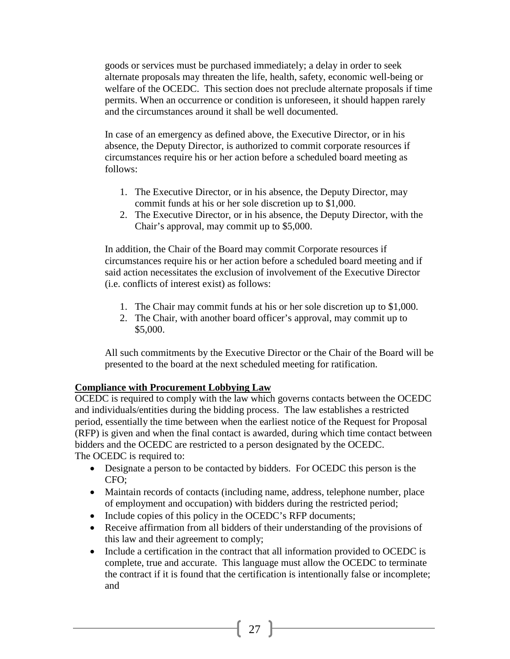goods or services must be purchased immediately; a delay in order to seek alternate proposals may threaten the life, health, safety, economic well-being or welfare of the OCEDC. This section does not preclude alternate proposals if time permits. When an occurrence or condition is unforeseen, it should happen rarely and the circumstances around it shall be well documented.

In case of an emergency as defined above, the Executive Director, or in his absence, the Deputy Director, is authorized to commit corporate resources if circumstances require his or her action before a scheduled board meeting as follows:

- 1. The Executive Director, or in his absence, the Deputy Director, may commit funds at his or her sole discretion up to \$1,000.
- 2. The Executive Director, or in his absence, the Deputy Director, with the Chair's approval, may commit up to \$5,000.

In addition, the Chair of the Board may commit Corporate resources if circumstances require his or her action before a scheduled board meeting and if said action necessitates the exclusion of involvement of the Executive Director (i.e. conflicts of interest exist) as follows:

- 1. The Chair may commit funds at his or her sole discretion up to \$1,000.
- 2. The Chair, with another board officer's approval, may commit up to \$5,000.

All such commitments by the Executive Director or the Chair of the Board will be presented to the board at the next scheduled meeting for ratification.

#### **Compliance with Procurement Lobbying Law**

OCEDC is required to comply with the law which governs contacts between the OCEDC and individuals/entities during the bidding process. The law establishes a restricted period, essentially the time between when the earliest notice of the Request for Proposal (RFP) is given and when the final contact is awarded, during which time contact between bidders and the OCEDC are restricted to a person designated by the OCEDC. The OCEDC is required to:

- Designate a person to be contacted by bidders. For OCEDC this person is the CFO;
- Maintain records of contacts (including name, address, telephone number, place of employment and occupation) with bidders during the restricted period;
- Include copies of this policy in the OCEDC's RFP documents;
- Receive affirmation from all bidders of their understanding of the provisions of this law and their agreement to comply;
- Include a certification in the contract that all information provided to OCEDC is complete, true and accurate. This language must allow the OCEDC to terminate the contract if it is found that the certification is intentionally false or incomplete; and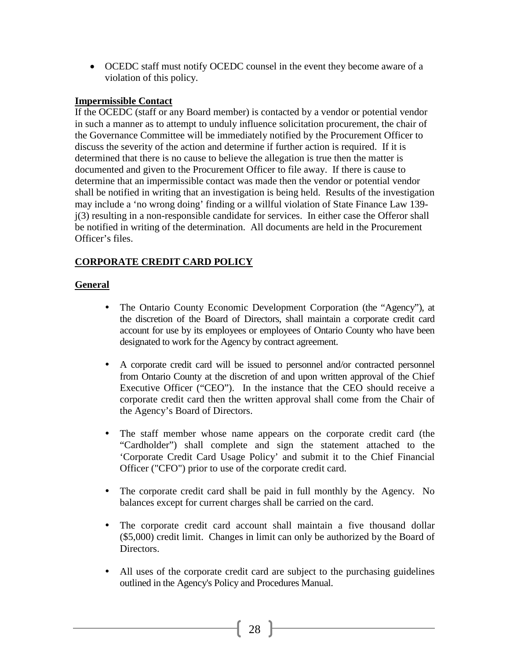• OCEDC staff must notify OCEDC counsel in the event they become aware of a violation of this policy.

#### **Impermissible Contact**

If the OCEDC (staff or any Board member) is contacted by a vendor or potential vendor in such a manner as to attempt to unduly influence solicitation procurement, the chair of the Governance Committee will be immediately notified by the Procurement Officer to discuss the severity of the action and determine if further action is required. If it is determined that there is no cause to believe the allegation is true then the matter is documented and given to the Procurement Officer to file away. If there is cause to determine that an impermissible contact was made then the vendor or potential vendor shall be notified in writing that an investigation is being held. Results of the investigation may include a 'no wrong doing' finding or a willful violation of State Finance Law 139 j(3) resulting in a non-responsible candidate for services. In either case the Offeror shall be notified in writing of the determination. All documents are held in the Procurement Officer's files.

#### **CORPORATE CREDIT CARD POLICY**

#### **General**

- The Ontario County Economic Development Corporation (the "Agency"), at the discretion of the Board of Directors, shall maintain a corporate credit card account for use by its employees or employees of Ontario County who have been designated to work for the Agency by contract agreement.
- A corporate credit card will be issued to personnel and/or contracted personnel from Ontario County at the discretion of and upon written approval of the Chief Executive Officer ("CEO"). In the instance that the CEO should receive a corporate credit card then the written approval shall come from the Chair of the Agency's Board of Directors.
- The staff member whose name appears on the corporate credit card (the "Cardholder") shall complete and sign the statement attached to the 'Corporate Credit Card Usage Policy' and submit it to the Chief Financial Officer ("CFO") prior to use of the corporate credit card.
- The corporate credit card shall be paid in full monthly by the Agency. No balances except for current charges shall be carried on the card.
- The corporate credit card account shall maintain a five thousand dollar (\$5,000) credit limit. Changes in limit can only be authorized by the Board of Directors.
- All uses of the corporate credit card are subject to the purchasing guidelines outlined in the Agency's Policy and Procedures Manual.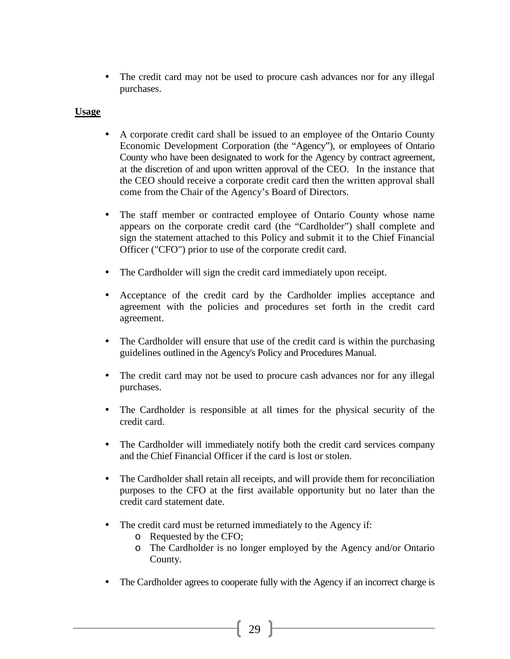• The credit card may not be used to procure cash advances nor for any illegal purchases.

#### **Usage**

- A corporate credit card shall be issued to an employee of the Ontario County Economic Development Corporation (the "Agency"), or employees of Ontario County who have been designated to work for the Agency by contract agreement, at the discretion of and upon written approval of the CEO. In the instance that the CEO should receive a corporate credit card then the written approval shall come from the Chair of the Agency's Board of Directors.
- The staff member or contracted employee of Ontario County whose name appears on the corporate credit card (the "Cardholder") shall complete and sign the statement attached to this Policy and submit it to the Chief Financial Officer ("CFO") prior to use of the corporate credit card.
- The Cardholder will sign the credit card immediately upon receipt.
- Acceptance of the credit card by the Cardholder implies acceptance and agreement with the policies and procedures set forth in the credit card agreement.
- The Cardholder will ensure that use of the credit card is within the purchasing guidelines outlined in the Agency's Policy and Procedures Manual.
- The credit card may not be used to procure cash advances nor for any illegal purchases.
- The Cardholder is responsible at all times for the physical security of the credit card.
- The Cardholder will immediately notify both the credit card services company and the Chief Financial Officer if the card is lost or stolen.
- The Cardholder shall retain all receipts, and will provide them for reconciliation purposes to the CFO at the first available opportunity but no later than the credit card statement date.
- The credit card must be returned immediately to the Agency if:
	- o Requested by the CFO;
	- o The Cardholder is no longer employed by the Agency and/or Ontario County.
- The Cardholder agrees to cooperate fully with the Agency if an incorrect charge is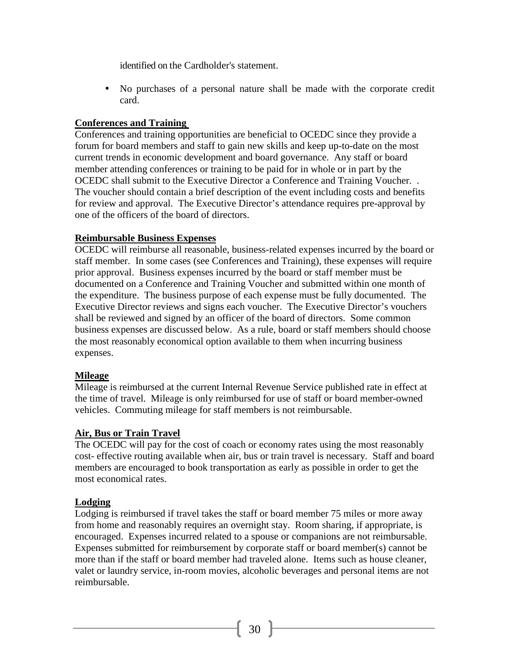identified on the Cardholder's statement.

 No purchases of a personal nature shall be made with the corporate credit card.

#### **Conferences and Training**

Conferences and training opportunities are beneficial to OCEDC since they provide a forum for board members and staff to gain new skills and keep up-to-date on the most current trends in economic development and board governance. Any staff or board member attending conferences or training to be paid for in whole or in part by the OCEDC shall submit to the Executive Director a Conference and Training Voucher. . The voucher should contain a brief description of the event including costs and benefits for review and approval. The Executive Director's attendance requires pre-approval by one of the officers of the board of directors.

#### **Reimbursable Business Expenses**

OCEDC will reimburse all reasonable, business-related expenses incurred by the board or staff member. In some cases (see Conferences and Training), these expenses will require prior approval. Business expenses incurred by the board or staff member must be documented on a Conference and Training Voucher and submitted within one month of the expenditure. The business purpose of each expense must be fully documented. The Executive Director reviews and signs each voucher. The Executive Director's vouchers shall be reviewed and signed by an officer of the board of directors. Some common business expenses are discussed below. As a rule, board or staff members should choose the most reasonably economical option available to them when incurring business expenses.

#### **Mileage**

Mileage is reimbursed at the current Internal Revenue Service published rate in effect at the time of travel. Mileage is only reimbursed for use of staff or board member-owned vehicles. Commuting mileage for staff members is not reimbursable.

#### **Air, Bus or Train Travel**

The OCEDC will pay for the cost of coach or economy rates using the most reasonably cost- effective routing available when air, bus or train travel is necessary. Staff and board members are encouraged to book transportation as early as possible in order to get the most economical rates.

#### **Lodging**

Lodging is reimbursed if travel takes the staff or board member 75 miles or more away from home and reasonably requires an overnight stay. Room sharing, if appropriate, is encouraged. Expenses incurred related to a spouse or companions are not reimbursable. Expenses submitted for reimbursement by corporate staff or board member(s) cannot be more than if the staff or board member had traveled alone. Items such as house cleaner, valet or laundry service, in-room movies, alcoholic beverages and personal items are not reimbursable.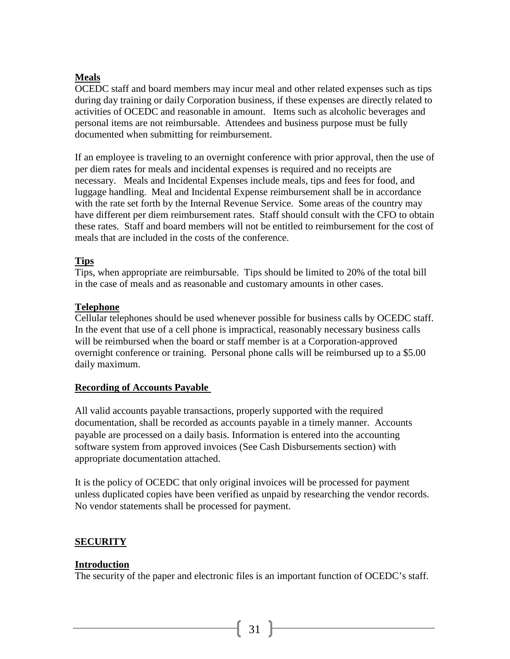#### **Meals**

OCEDC staff and board members may incur meal and other related expenses such as tips during day training or daily Corporation business, if these expenses are directly related to activities of OCEDC and reasonable in amount. Items such as alcoholic beverages and personal items are not reimbursable. Attendees and business purpose must be fully documented when submitting for reimbursement.

If an employee is traveling to an overnight conference with prior approval, then the use of per diem rates for meals and incidental expenses is required and no receipts are necessary. Meals and Incidental Expenses include meals, tips and fees for food, and luggage handling. Meal and Incidental Expense reimbursement shall be in accordance with the rate set forth by the Internal Revenue Service. Some areas of the country may have different per diem reimbursement rates. Staff should consult with the CFO to obtain these rates. Staff and board members will not be entitled to reimbursement for the cost of meals that are included in the costs of the conference.

#### **Tips**

Tips, when appropriate are reimbursable. Tips should be limited to 20% of the total bill in the case of meals and as reasonable and customary amounts in other cases.

#### **Telephone**

Cellular telephones should be used whenever possible for business calls by OCEDC staff. In the event that use of a cell phone is impractical, reasonably necessary business calls will be reimbursed when the board or staff member is at a Corporation-approved overnight conference or training. Personal phone calls will be reimbursed up to a \$5.00 daily maximum.

#### **Recording of Accounts Payable**

All valid accounts payable transactions, properly supported with the required documentation, shall be recorded as accounts payable in a timely manner. Accounts payable are processed on a daily basis. Information is entered into the accounting software system from approved invoices (See Cash Disbursements section) with appropriate documentation attached.

It is the policy of OCEDC that only original invoices will be processed for payment unless duplicated copies have been verified as unpaid by researching the vendor records. No vendor statements shall be processed for payment.

#### **SECURITY**

#### **Introduction**

The security of the paper and electronic files is an important function of OCEDC's staff.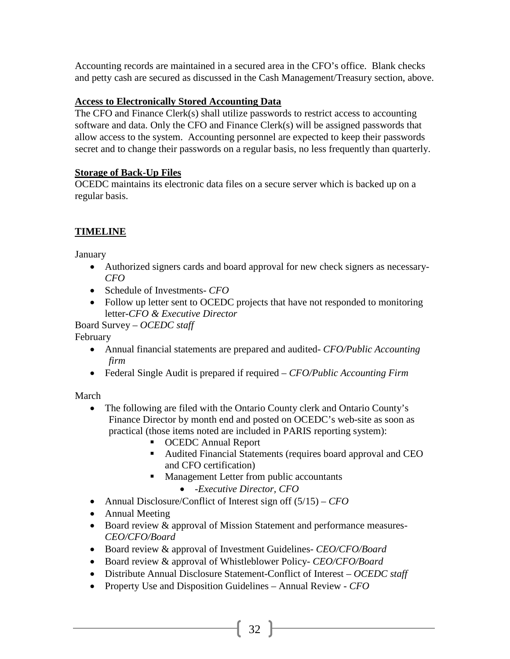Accounting records are maintained in a secured area in the CFO's office. Blank checks and petty cash are secured as discussed in the Cash Management/Treasury section, above.

## **Access to Electronically Stored Accounting Data**

The CFO and Finance Clerk(s) shall utilize passwords to restrict access to accounting software and data. Only the CFO and Finance Clerk(s) will be assigned passwords that allow access to the system. Accounting personnel are expected to keep their passwords secret and to change their passwords on a regular basis, no less frequently than quarterly.

## **Storage of Back-Up Files**

OCEDC maintains its electronic data files on a secure server which is backed up on a regular basis.

## **TIMELINE**

**January** 

- Authorized signers cards and board approval for new check signers as necessary-*CFO*
- Schedule of Investments- *CFO*
- Follow up letter sent to OCEDC projects that have not responded to monitoring letter*-CFO & Executive Director*

Board Survey – *OCEDC staff*

## February

- Annual financial statements are prepared and audited- *CFO/Public Accounting firm*
- Federal Single Audit is prepared if required *CFO/Public Accounting Firm*

March

- The following are filed with the Ontario County clerk and Ontario County's Finance Director by month end and posted on OCEDC's web-site as soon as practical (those items noted are included in PARIS reporting system):
	- **CEDC** Annual Report
	- Audited Financial Statements (requires board approval and CEO and CFO certification)
	- **Management Letter from public accountants** 
		- -*Executive Director, CFO*
- Annual Disclosure/Conflict of Interest sign off (5/15) *CFO*
- Annual Meeting
- Board review & approval of Mission Statement and performance measures*-CEO/CFO/Board*
- Board review & approval of Investment Guidelines*- CEO/CFO/Board*
- Board review & approval of Whistleblower Policy*- CEO/CFO/Board*
- Distribute Annual Disclosure Statement-Conflict of Interest *– OCEDC staff*
- Property Use and Disposition Guidelines Annual Review *CFO*